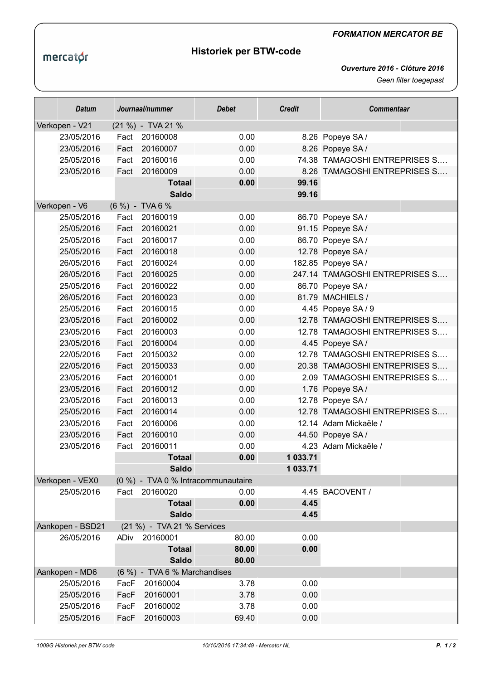## *FORMATION MERCATOR BE*

## **Historiek per BTW-code**

*Ouverture 2016 - Clôture 2016 Geen filter toegepast*

| <b>Datum</b>     | Journaal/nummer |                              | <b>Debet</b>                       | <b>Credit</b> | <b>Commentaar</b>              |  |
|------------------|-----------------|------------------------------|------------------------------------|---------------|--------------------------------|--|
| Verkopen - V21   |                 | (21 %) - TVA 21 %            |                                    |               |                                |  |
| 23/05/2016       | Fact            | 20160008                     | 0.00                               |               | 8.26 Popeye SA/                |  |
| 23/05/2016       | Fact            | 20160007                     | 0.00                               |               | 8.26 Popeye SA/                |  |
| 25/05/2016       | Fact            | 20160016                     | 0.00                               |               | 74.38 TAMAGOSHI ENTREPRISES S  |  |
| 23/05/2016       | Fact            | 20160009                     | 0.00                               |               | 8.26 TAMAGOSHI ENTREPRISES S   |  |
|                  |                 | <b>Totaal</b>                | 0.00                               | 99.16         |                                |  |
|                  |                 | <b>Saldo</b>                 |                                    | 99.16         |                                |  |
| Verkopen - V6    |                 | (6 %) - TVA 6 %              |                                    |               |                                |  |
| 25/05/2016       | Fact            | 20160019                     | 0.00                               |               | 86.70 Popeye SA/               |  |
| 25/05/2016       | Fact            | 20160021                     | 0.00                               |               | 91.15 Popeye SA/               |  |
| 25/05/2016       | Fact            | 20160017                     | 0.00                               |               | 86.70 Popeye SA/               |  |
| 25/05/2016       | Fact            | 20160018                     | 0.00                               |               | 12.78 Popeye SA/               |  |
| 26/05/2016       | Fact            | 20160024                     | 0.00                               |               | 182.85 Popeye SA/              |  |
| 26/05/2016       | Fact            | 20160025                     | 0.00                               |               | 247.14 TAMAGOSHI ENTREPRISES S |  |
| 25/05/2016       | Fact            | 20160022                     | 0.00                               |               | 86.70 Popeye SA/               |  |
| 26/05/2016       | Fact            | 20160023                     | 0.00                               |               | 81.79 MACHIELS /               |  |
| 25/05/2016       | Fact            | 20160015                     | 0.00                               |               | 4.45 Popeye SA/9               |  |
| 23/05/2016       | Fact            | 20160002                     | 0.00                               |               | 12.78 TAMAGOSHI ENTREPRISES S  |  |
| 23/05/2016       | Fact            | 20160003                     | 0.00                               |               | 12.78 TAMAGOSHI ENTREPRISES S  |  |
| 23/05/2016       | Fact            | 20160004                     | 0.00                               |               | 4.45 Popeye SA/                |  |
| 22/05/2016       | Fact            | 20150032                     | 0.00                               |               | 12.78 TAMAGOSHI ENTREPRISES S  |  |
| 22/05/2016       | Fact            | 20150033                     | 0.00                               |               | 20.38 TAMAGOSHI ENTREPRISES S  |  |
| 23/05/2016       | Fact            | 20160001                     | 0.00                               |               | 2.09 TAMAGOSHI ENTREPRISES S   |  |
| 23/05/2016       | Fact            | 20160012                     | 0.00                               |               | 1.76 Popeye SA/                |  |
| 23/05/2016       | Fact            | 20160013                     | 0.00                               |               | 12.78 Popeye SA/               |  |
| 25/05/2016       | Fact            | 20160014                     | 0.00                               |               | 12.78 TAMAGOSHI ENTREPRISES S  |  |
| 23/05/2016       | Fact            | 20160006                     | 0.00                               |               | 12.14 Adam Mickaële /          |  |
| 23/05/2016       | Fact            | 20160010                     | 0.00                               |               | 44.50 Popeye SA/               |  |
| 23/05/2016       | Fact            | 20160011                     | 0.00                               |               | 4.23 Adam Mickaële /           |  |
|                  |                 | <b>Totaal</b>                | 0.00                               | 1 033.71      |                                |  |
|                  |                 | <b>Saldo</b>                 |                                    | 1 033.71      |                                |  |
| Verkopen - VEX0  |                 |                              | (0 %) - TVA 0 % Intracommunautaire |               |                                |  |
| 25/05/2016       |                 | Fact 20160020                | 0.00                               |               | 4.45 BACOVENT /                |  |
|                  |                 | <b>Totaal</b>                | 0.00                               | 4.45          |                                |  |
|                  |                 | <b>Saldo</b>                 |                                    | 4.45          |                                |  |
| Aankopen - BSD21 |                 | (21 %) - TVA 21 % Services   |                                    |               |                                |  |
| 26/05/2016       | ADiv            | 20160001                     | 80.00                              | 0.00          |                                |  |
|                  |                 | <b>Totaal</b>                | 80.00                              | 0.00          |                                |  |
|                  |                 | <b>Saldo</b>                 | 80.00                              |               |                                |  |
| Aankopen - MD6   |                 | (6 %) - TVA 6 % Marchandises |                                    |               |                                |  |
| 25/05/2016       | FacF            | 20160004                     | 3.78                               | 0.00          |                                |  |
| 25/05/2016       | FacF            | 20160001                     | 3.78                               | 0.00          |                                |  |
| 25/05/2016       | FacF            | 20160002                     | 3.78                               | 0.00          |                                |  |
| 25/05/2016       | FacF            | 20160003                     | 69.40                              | 0.00          |                                |  |

mercator